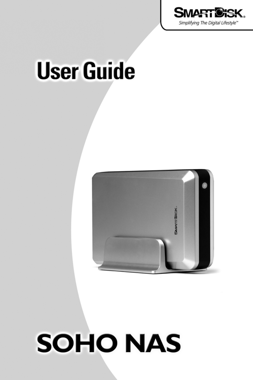

# **User Guide**



# **SOHO NAS**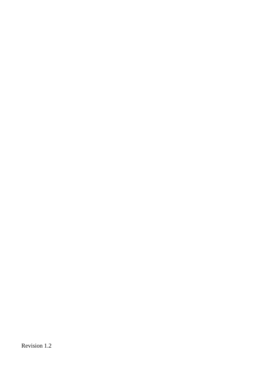Revision 1.2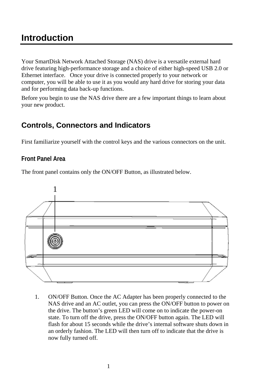## **Introduction**

Your SmartDisk Network Attached Storage (NAS) drive is a versatile external hard drive featuring high-performance storage and a choice of either high-speed USB 2.0 or Ethernet interface. Once your drive is connected properly to your network or computer, you will be able to use it as you would any hard drive for storing your data and for performing data back-up functions.

Before you begin to use the NAS drive there are a few important things to learn about your new product.

## **Controls, Connectors and Indicators**

First familiarize yourself with the control keys and the various connectors on the unit.

## **Front Panel Area**

The front panel contains only the ON/OFF Button, as illustrated below.



1. ON/OFF Button. Once the AC Adapter has been properly connected to the NAS drive and an AC outlet, you can press the ON/OFF button to power on the drive. The button's green LED will come on to indicate the power-on state. To turn off the drive, press the ON/OFF button again. The LED will flash for about 15 seconds while the drive's internal software shuts down in an orderly fashion. The LED will then turn off to indicate that the drive is now fully turned off.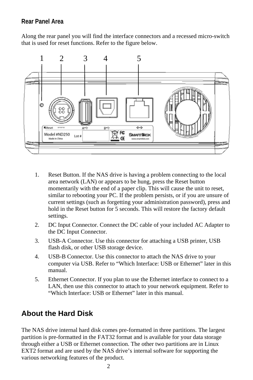## **Rear Panel Area**

Along the rear panel you will find the interface connectors and a recessed micro-switch that is used for reset functions. Refer to the figure below.



- 1. Reset Button. If the NAS drive is having a problem connecting to the local area network (LAN) or appears to be hung, press the Reset button momentarily with the end of a paper clip. This will cause the unit to reset, similar to rebooting your PC. If the problem persists, or if you are unsure of current settings (such as forgetting your administration password), press and hold in the Reset button for 5 seconds. This will restore the factory default settings.
- 2. DC Input Connector. Connect the DC cable of your included AC Adapter to the DC Input Connector.
- 3. USB-A Connector. Use this connector for attaching a USB printer, USB flash disk, or other USB storage device.
- 4. USB-B Connector. Use this connector to attach the NAS drive to your computer via USB. Refer to "Which Interface: USB or Ethernet" later in this manual.
- 5. Ethernet Connector. If you plan to use the Ethernet interface to connect to a LAN, then use this connector to attach to your network equipment. Refer to "Which Interface: USB or Ethernet" later in this manual.

## **About the Hard Disk**

The NAS drive internal hard disk comes pre-formatted in three partitions. The largest partition is pre-formatted in the FAT32 format and is available for your data storage through either a USB or Ethernet connection. The other two partitions are in Linux EXT2 format and are used by the NAS drive's internal software for supporting the various networking features of the product.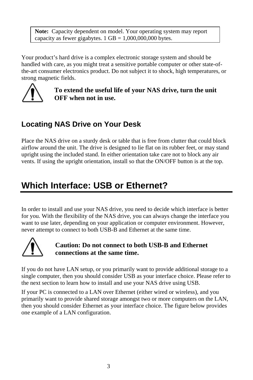**Note:** Capacity dependent on model. Your operating system may report capacity as fewer gigabytes.  $1 \text{ GB} = 1,000,000,000$  bytes.

Your product's hard drive is a complex electronic storage system and should be handled with care, as you might treat a sensitive portable computer or other state-ofthe-art consumer electronics product. Do not subject it to shock, high temperatures, or strong magnetic fields.



**To extend the useful life of your NAS drive, turn the unit OFF when not in use.** 

## **Locating NAS Drive on Your Desk**

Place the NAS drive on a sturdy desk or table that is free from clutter that could block airflow around the unit. The drive is designed to lie flat on its rubber feet, or may stand upright using the included stand. In either orientation take care not to block any air vents. If using the upright orientation, install so that the ON/OFF button is at the top.

# **Which Interface: USB or Ethernet?**

In order to install and use your NAS drive, you need to decide which interface is better for you. With the flexibility of the NAS drive, you can always change the interface you want to use later, depending on your application or computer environment. However, never attempt to connect to both USB-B and Ethernet at the same time.



## **Caution: Do not connect to both USB-B and Ethernet connections at the same time.**

If you do not have LAN setup, or you primarily want to provide additional storage to a single computer, then you should consider USB as your interface choice. Please refer to the next section to learn how to install and use your NAS drive using USB.

If your PC is connected to a LAN over Ethernet (either wired or wireless), and you primarily want to provide shared storage amongst two or more computers on the LAN, then you should consider Ethernet as your interface choice. The figure below provides one example of a LAN configuration.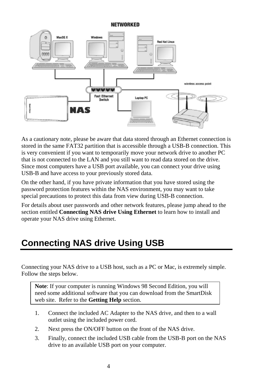#### NETWORKED



As a cautionary note, please be aware that data stored through an Ethernet connection is stored in the same FAT32 partition that is accessible through a USB-B connection. This is very convenient if you want to temporarily move your network drive to another PC that is not connected to the LAN and you still want to read data stored on the drive. Since most computers have a USB port available, you can connect your drive using USB-B and have access to your previously stored data.

On the other hand, if you have private information that you have stored using the password protection features within the NAS environment, you may want to take special precautions to protect this data from view during USB-B connection.

For details about user passwords and other network features, please jump ahead to the section entitled **Connecting NAS drive Using Ethernet** to learn how to install and operate your NAS drive using Ethernet.

# **Connecting NAS drive Using USB**

Connecting your NAS drive to a USB host, such as a PC or Mac, is extremely simple. Follow the steps below.

**Note**: If your computer is running Windows 98 Second Edition, you will need some additional software that you can download from the SmartDisk web site. Refer to the **Getting Help** section.

- 1. Connect the included AC Adapter to the NAS drive, and then to a wall outlet using the included power cord.
- 2. Next press the ON/OFF button on the front of the NAS drive.
- 3. Finally, connect the included USB cable from the USB-B port on the NAS drive to an available USB port on your computer.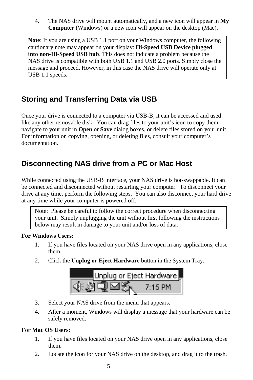4. The NAS drive will mount automatically, and a new icon will appear in **My Computer** (Windows) or a new icon will appear on the desktop (Mac).

**Note**: If you are using a USB 1.1 port on your Windows computer, the following cautionary note may appear on your display: **Hi-Speed USB Device plugged into non-Hi-Speed USB hub**. This does not indicate a problem because the NAS drive is compatible with both USB 1.1 and USB 2.0 ports. Simply close the message and proceed. However, in this case the NAS drive will operate only at USB 1.1 speeds.

## **Storing and Transferring Data via USB**

Once your drive is connected to a computer via USB-B, it can be accessed and used like any other removable disk. You can drag files to your unit's icon to copy them, navigate to your unit in **Open** or **Save** dialog boxes, or delete files stored on your unit. For information on copying, opening, or deleting files, consult your computer's documentation.

## **Disconnecting NAS drive from a PC or Mac Host**

While connected using the USB-B interface, your NAS drive is hot-swappable. It can be connected and disconnected without restarting your computer. To disconnect your drive at any time, perform the following steps. You can also disconnect your hard drive at any time while your computer is powered off.

Note: Please be careful to follow the correct procedure when disconnecting your unit. Simply unplugging the unit without first following the instructions below may result in damage to your unit and/or loss of data.

#### **For Windows Users:**

- 1. If you have files located on your NAS drive open in any applications, close them.
- 2. Click the **Unplug or Eject Hardware** button in the System Tray.



- 3. Select your NAS drive from the menu that appears.
- 4. After a moment, Windows will display a message that your hardware can be safely removed.

## **For Mac OS Users:**

- 1. If you have files located on your NAS drive open in any applications, close them.
- 2. Locate the icon for your NAS drive on the desktop, and drag it to the trash.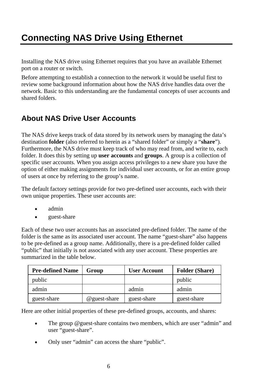# **Connecting NAS Drive Using Ethernet**

Installing the NAS drive using Ethernet requires that you have an available Ethernet port on a router or switch.

Before attempting to establish a connection to the network it would be useful first to review some background information about how the NAS drive handles data over the network. Basic to this understanding are the fundamental concepts of user accounts and shared folders.

## **About NAS Drive User Accounts**

The NAS drive keeps track of data stored by its network users by managing the data's destination **folder** (also referred to herein as a "shared folder" or simply a "**share**"). Furthermore, the NAS drive must keep track of who may read from, and write to, each folder. It does this by setting up **user accounts** and **groups**. A group is a collection of specific user accounts. When you assign access privileges to a new share you have the option of either making assignments for individual user accounts, or for an entire group of users at once by referring to the group's name.

The default factory settings provide for two pre-defined user accounts, each with their own unique properties. These user accounts are:

- admin
- guest-share

Each of these two user accounts has an associated pre-defined folder. The name of the folder is the same as its associated user account. The name "guest-share" also happens to be pre-defined as a group name. Additionally, there is a pre-defined folder called "public" that initially is not associated with any user account. These properties are summarized in the table below.

| <b>Pre-defined Name</b> | Group        | <b>User Account</b> | <b>Folder (Share)</b> |
|-------------------------|--------------|---------------------|-----------------------|
| public                  |              |                     | public                |
| admin                   |              | admin               | admin                 |
| guest-share             | @guest-share | guest-share         | guest-share           |

Here are other initial properties of these pre-defined groups, accounts, and shares:

- The group @guest-share contains two members, which are user "admin" and user "guest-share".
- Only user "admin" can access the share "public".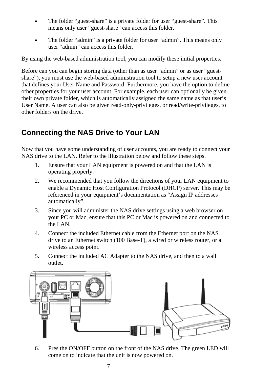- The folder "guest-share" is a private folder for user "guest-share". This means only user "guest-share" can access this folder.
- The folder "admin" is a private folder for user "admin". This means only user "admin" can access this folder.

By using the web-based administration tool, you can modify these initial properties.

Before can you can begin storing data (other than as user "admin" or as user "guestshare"), you must use the web-based administration tool to setup a new user account that defines your User Name and Password. Furthermore, you have the option to define other properties for your user account. For example, each user can optionally be given their own private folder, which is automatically assigned the same name as that user's User Name. A user can also be given read-only-privileges, or read/write-privileges, to other folders on the drive.

## **Connecting the NAS Drive to Your LAN**

Now that you have some understanding of user accounts, you are ready to connect your NAS drive to the LAN. Refer to the illustration below and follow these steps.

- 1. Ensure that your LAN equipment is powered on and that the LAN is operating properly.
- 2. We recommended that you follow the directions of your LAN equipment to enable a Dynamic Host Configuration Protocol (DHCP) server. This may be referenced in your equipment's documentation as "Assign IP addresses automatically".
- 3. Since you will administer the NAS drive settings using a web browser on your PC or Mac, ensure that this PC or Mac is powered on and connected to the LAN.
- 4. Connect the included Ethernet cable from the Ethernet port on the NAS drive to an Ethernet switch (100 Base-T), a wired or wireless router, or a wireless access point.
- 5. Connect the included AC Adapter to the NAS drive, and then to a wall outlet.



6. Pres the ON/OFF button on the front of the NAS drive. The green LED will come on to indicate that the unit is now powered on.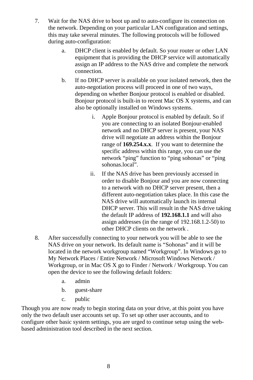- 7. Wait for the NAS drive to boot up and to auto-configure its connection on the network. Depending on your particular LAN configuration and settings, this may take several minutes. The following protocols will be followed during auto-configuration:
	- a. DHCP client is enabled by default. So your router or other LAN equipment that is providing the DHCP service will automatically assign an IP address to the NAS drive and complete the network connection.
	- b. If no DHCP server is available on your isolated network, then the auto-negotiation process will proceed in one of two ways, depending on whether Bonjour protocol is enabled or disabled. Bonjour protocol is built-in to recent Mac OS X systems, and can also be optionally installed on Windows systems.
		- i. Apple Bonjour protocol is enabled by default. So if you are connecting to an isolated Bonjour-enabled network and no DHCP server is present, your NAS drive will negotiate an address within the Bonjour range of **169.254.x.x**. If you want to determine the specific address within this range, you can use the network "ping" function to "ping sohonas" or "ping sohonas.local".
		- ii. If the NAS drive has been previously accessed in order to disable Bonjour and you are now connecting to a network with no DHCP server present, then a different auto-negotiation takes place. In this case the NAS drive will automatically launch its internal DHCP server. This will result in the NAS drive taking the default IP address of **192.168.1.1** and will also assign addresses (in the range of 192.168.1.2-50) to other DHCP clients on the network .
- 8. After successfully connecting to your network you will be able to see the NAS drive on your network. Its default name is "Sohonas" and it will be located in the network workgroup named "Workgroup". In Windows go to My Network Places / Entire Network / Microsoft Windows Network / Workgroup, or in Mac OS X go to Finder / Network / Workgroup. You can open the device to see the following default folders:
	- a. admin
	- b. guest-share
	- c. public

Though you are now ready to begin storing data on your drive, at this point you have only the two default user accounts set up. To set up other user accounts, and to configure other basic system settings, you are urged to continue setup using the webbased administration tool described in the next section.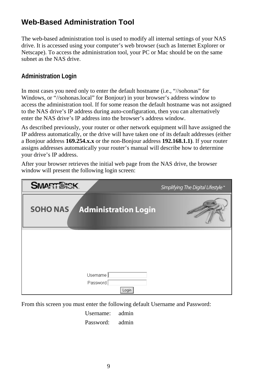## **Web-Based Administration Tool**

The web-based administration tool is used to modify all internal settings of your NAS drive. It is accessed using your computer's web browser (such as Internet Explorer or Netscape). To access the administration tool, your PC or Mac should be on the same subnet as the NAS drive.

## **Administration Login**

In most cases you need only to enter the default hostname (i.e., "//sohonas" for Windows, or "//sohonas.local" for Bonjour) in your browser's address window to access the administration tool. If for some reason the default hostname was not assigned to the NAS drive's IP address during auto-configuration, then you can alternatively enter the NAS drive's IP address into the browser's address window.

As described previously, your router or other network equipment will have assigned the IP address automatically, or the drive will have taken one of its default addresses (either a Bonjour address **169.254.x.x** or the non-Bonjour address **192.168.1.1)**. If your router assigns addresses automatically your router's manual will describe how to determine your drive's IP address.

After your browser retrieves the initial web page from the NAS drive, the browser window will present the following login screen:

| <b>SMART CISK</b>                             | Simplifying The Digital Lifestyle" |
|-----------------------------------------------|------------------------------------|
| <b>SOHONAS</b><br><b>Administration Login</b> |                                    |
|                                               |                                    |
|                                               |                                    |
|                                               |                                    |
| Username                                      |                                    |
| Password<br>Login                             |                                    |

From this screen you must enter the following default Username and Password:

Username: admin

Password: admin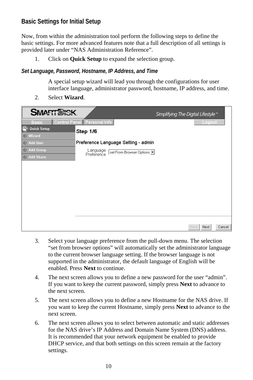## **Basic Settings for Initial Setup**

Now, from within the administration tool perform the following steps to define the basic settings. For more advanced features note that a full description of all settings is provided later under "NAS Administration Reference".

1. Click on **Quick Setup** to expand the selection group.

#### *Set Language, Password, Hostname, IP Address, and Time*

A special setup wizard will lead you through the configurations for user interface language, administrator password, hostname, IP address, and time.



2. Select **Wizard**.

- 3. Select your language preference from the pull-down menu. The selection "set from browser options" will automatically set the administrator language to the current browser language setting. If the browser language is not supported in the administrator, the default language of English will be enabled. Press **Next** to continue.
- 4. The next screen allows you to define a new password for the user "admin". If you want to keep the current password, simply press **Next** to advance to the next screen.
- 5. The next screen allows you to define a new Hostname for the NAS drive. If you want to keep the current Hostname, simply press **Next** to advance to the next screen.
- 6. The next screen allows you to select between automatic and static addresses for the NAS drive's IP Address and Domain Name System (DNS) address. It is recommended that your network equipment be enabled to provide DHCP service, and that both settings on this screen remain at the factory settings.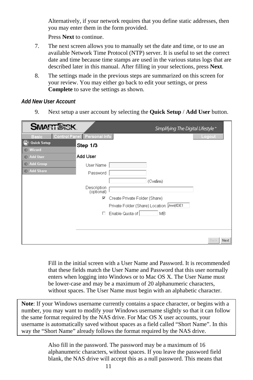Alternatively, if your network requires that you define static addresses, then you may enter them in the form provided.

Press **Next** to continue.

- 7. The next screen allows you to manually set the date and time, or to use an available Network Time Protocol (NTP) server. It is useful to set the correct date and time because time stamps are used in the various status logs that are described later in this manual. After filling in your selections, press **Next**.
- 8. The settings made in the previous steps are summarized on this screen for your review. You may either go back to edit your settings, or press **Complete** to save the settings as shown.

#### *Add New User Account*

9. Next setup a user account by selecting the **Quick Setup** / **Add User** button.

| <b>SMART WOK</b>                                    |                             |                                             | Simplifying The Digital Lifestyle |              |
|-----------------------------------------------------|-----------------------------|---------------------------------------------|-----------------------------------|--------------|
| <b>Basic</b>                                        | Control Panel Personal Info |                                             |                                   | Logout       |
| $\left( -1\right)$<br><b>Quick Setup</b>            | Step 1/3                    |                                             |                                   |              |
| Wizard<br>$\bullet$<br><b>Add User</b><br>$\bullet$ | Add User                    |                                             |                                   |              |
| > Add Group                                         |                             |                                             |                                   |              |
| > Add Share                                         | User Name                   |                                             |                                   |              |
|                                                     | Password                    |                                             |                                   |              |
|                                                     |                             |                                             | (Confirm)                         |              |
|                                                     | Description<br>(optional)   |                                             |                                   |              |
|                                                     | ⊽                           | Create Private Folder (Share)               |                                   |              |
|                                                     |                             | Private Folder (Share) Location: //mnt/IDE1 |                                   |              |
|                                                     |                             |                                             |                                   |              |
|                                                     | п                           | Enable Quota of                             | <b>MB</b>                         |              |
|                                                     |                             |                                             |                                   |              |
|                                                     |                             |                                             |                                   |              |
|                                                     |                             |                                             |                                   |              |
|                                                     |                             |                                             |                                   | Back<br>Next |

Fill in the initial screen with a User Name and Password. It is recommended that these fields match the User Name and Password that this user normally enters when logging into Windows or to Mac OS X. The User Name must be lower-case and may be a maximum of 20 alphanumeric characters, without spaces. The User Name must begin with an alphabetic character.

**Note**: If your Windows username currently contains a space character, or begins with a number, you may want to modify your Windows username slightly so that it can follow the same format required by the NAS drive. For Mac OS X user accounts, your username is automatically saved without spaces as a field called "Short Name". In this way the "Short Name" already follows the format required by the NAS drive.

> Also fill in the password. The password may be a maximum of 16 alphanumeric characters, without spaces. If you leave the password field blank, the NAS drive will accept this as a null password. This means that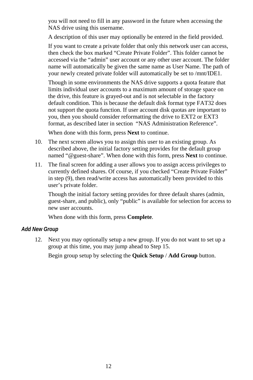you will not need to fill in any password in the future when accessing the NAS drive using this username.

A description of this user may optionally be entered in the field provided.

If you want to create a private folder that only this network user can access, then check the box marked "Create Private Folder". This folder cannot be accessed via the "admin" user account or any other user account. The folder name will automatically be given the same name as User Name. The path of your newly created private folder will automatically be set to /mnt/IDE1.

Though in some environments the NAS drive supports a quota feature that limits individual user accounts to a maximum amount of storage space on the drive, this feature is grayed-out and is not selectable in the factory default condition. This is because the default disk format type FAT32 does not support the quota function. If user account disk quotas are important to you, then you should consider reformatting the drive to EXT2 or EXT3 format, as described later in section "NAS Administration Reference".

When done with this form, press **Next** to continue.

- 10. The next screen allows you to assign this user to an existing group. As described above, the initial factory setting provides for the default group named "@guest-share". When done with this form, press **Next** to continue.
- 11. The final screen for adding a user allows you to assign access privileges to currently defined shares. Of course, if you checked "Create Private Folder" in step (9), then read/write access has automatically been provided to this user's private folder.

Though the initial factory setting provides for three default shares (admin, guest-share, and public), only "public" is available for selection for access to new user accounts.

When done with this form, press **Complete**.

#### *Add New Group*

12. Next you may optionally setup a new group. If you do not want to set up a group at this time, you may jump ahead to Step 15.

Begin group setup by selecting the **Quick Setup** / **Add Group** button.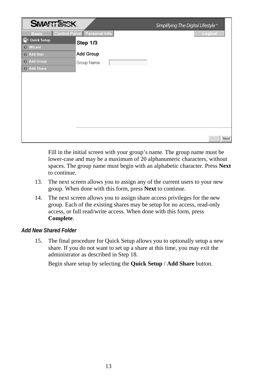| <b>SMART CISK</b>                                                               |                             | Simplifying The Digital Lifestyle" |
|---------------------------------------------------------------------------------|-----------------------------|------------------------------------|
| <b>Basic</b>                                                                    | Control Panel Personal Info | Logout                             |
| $\left( \begin{matrix} \blacksquare \end{matrix} \right)$<br><b>Quick Setup</b> | Step 1/3                    |                                    |
| $\triangleright$ Wizard                                                         |                             |                                    |
| > Add User                                                                      | Add Group                   |                                    |
| Add Group                                                                       | Group Name                  |                                    |
| > Add Share                                                                     |                             |                                    |
|                                                                                 |                             |                                    |
|                                                                                 |                             |                                    |
|                                                                                 |                             |                                    |
|                                                                                 |                             |                                    |
|                                                                                 |                             |                                    |
|                                                                                 |                             |                                    |
|                                                                                 |                             |                                    |
|                                                                                 |                             |                                    |
|                                                                                 |                             |                                    |
|                                                                                 |                             | Back<br>Next                       |

Fill in the initial screen with your group's name. The group name must be lower-case and may be a maximum of 20 alphanumeric characters, without spaces. The group name must begin with an alphabetic character. Press **Next** to continue.

- 13. The next screen allows you to assign any of the current users to your new group. When done with this form, press **Next** to continue.
- 14. The next screen allows you to assign share access privileges for the new group. Each of the existing shares may be setup for no access, read-only access, or full read/write access. When done with this form, press **Complete**.

#### *Add New Shared Folder*

15. The final procedure for Quick Setup allows you to optionally setup a new share. If you do not want to set up a share at this time, you may exit the administrator as described in Step 18.

Begin share setup by selecting the **Quick Setup** / **Add Share** button.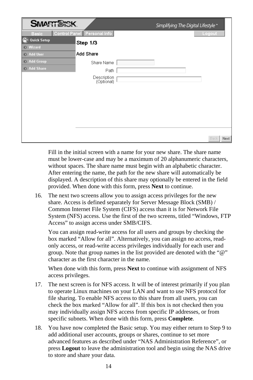| <b>SMART CIRK</b>                                  |                             | Simplifying The Digital Lifestyle" |        |      |
|----------------------------------------------------|-----------------------------|------------------------------------|--------|------|
| <b>Basic</b>                                       | Control Panel Personal Info |                                    | Logout |      |
| $\left( \frac{1}{2} \right)$<br><b>Quick Setup</b> | Step 1/3                    |                                    |        |      |
| → Wizard                                           |                             |                                    |        |      |
| $\rightarrow$ Add User                             | <b>Add Share</b>            |                                    |        |      |
| > Add Group                                        | Share Name                  |                                    |        |      |
| > Add Share                                        | Path                        |                                    |        |      |
|                                                    | Description<br>(Optional)   |                                    |        |      |
|                                                    |                             |                                    |        |      |
|                                                    |                             |                                    |        |      |
|                                                    |                             |                                    |        |      |
|                                                    |                             |                                    |        |      |
|                                                    |                             |                                    |        |      |
|                                                    |                             |                                    | Back   | Next |

Fill in the initial screen with a name for your new share. The share name must be lower-case and may be a maximum of 20 alphanumeric characters, without spaces. The share name must begin with an alphabetic character. After entering the name, the path for the new share will automatically be displayed. A description of this share may optionally be entered in the field provided. When done with this form, press **Next** to continue.

16. The next two screens allow you to assign access privileges for the new share. Access is defined separately for Server Message Block (SMB) / Common Internet File System (CIFS) access than it is for Network File System (NFS) access. Use the first of the two screens, titled "Windows, FTP Access" to assign access under SMB/CIFS.

You can assign read-write access for all users and groups by checking the box marked "Allow for all". Alternatively, you can assign no access, readonly access, or read-write access privileges individually for each user and group. Note that group names in the list provided are denoted with the "@" character as the first character in the name.

When done with this form, press **Next** to continue with assignment of NFS access privileges.

- 17. The next screen is for NFS access. It will be of interest primarily if you plan to operate Linux machines on your LAN and want to use NFS protocol for file sharing. To enable NFS access to this share from all users, you can check the box marked "Allow for all". If this box is not checked then you may individually assign NFS access from specific IP addresses, or from specific subnets. When done with this form, press **Complete**.
- 18. You have now completed the Basic setup. You may either return to Step 9 to add additional user accounts, groups or shares, continue to set more advanced features as described under "NAS Administration Reference", or press **Logout** to leave the administration tool and begin using the NAS drive to store and share your data.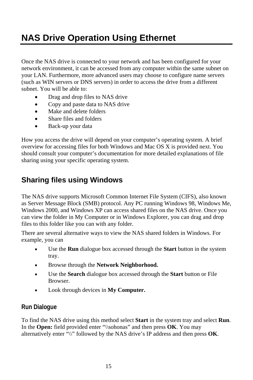# **NAS Drive Operation Using Ethernet**

Once the NAS drive is connected to your network and has been configured for your network environment, it can be accessed from any computer within the same subnet on your LAN. Furthermore, more advanced users may choose to configure name servers (such as WIN servers or DNS servers) in order to access the drive from a different subnet. You will be able to:

- Drag and drop files to NAS drive
- Copy and paste data to NAS drive
- Make and delete folders
- Share files and folders
- Back-up your data

How you access the drive will depend on your computer's operating system. A brief overview for accessing files for both Windows and Mac OS X is provided next. You should consult your computer's documentation for more detailed explanations of file sharing using your specific operating system.

## **Sharing files using Windows**

The NAS drive supports Microsoft Common Internet File System (CIFS), also known as Server Message Block (SMB) protocol. Any PC running Windows 98, Windows Me, Windows 2000, and Windows XP can access shared files on the NAS drive. Once you can view the folder in My Computer or in Windows Explorer, you can drag and drop files to this folder like you can with any folder.

There are several alternative ways to view the NAS shared folders in Windows. For example, you can

- Use the **Run** dialogue box accessed through the **Start** button in the system tray.
- Browse through the **Network Neighborhood.**
- Use the **Search** dialogue box accessed through the **Start** button or File Browser.
- Look through devices in **My Computer.**

## **Run Dialogue**

To find the NAS drive using this method select **Start** in the system tray and select **Run**. In the **Open:** field provided enter "\\sohonas" and then press **OK**. You may alternatively enter "\\" followed by the NAS drive's IP address and then press **OK**.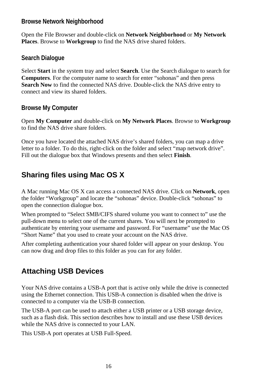## **Browse Network Neighborhood**

Open the File Browser and double-click on **Network Neighborhood** or **My Network Places**. Browse to **Workgroup** to find the NAS drive shared folders.

## **Search Dialogue**

Select **Start** in the system tray and select **Search**. Use the Search dialogue to search for **Computers**. For the computer name to search for enter "sohonas" and then press **Search Now** to find the connected NAS drive. Double-click the NAS drive entry to connect and view its shared folders.

## **Browse My Computer**

Open **My Computer** and double-click on **My Network Places**. Browse to **Workgroup** to find the NAS drive share folders.

Once you have located the attached NAS drive's shared folders, you can map a drive letter to a folder. To do this, right-click on the folder and select "map network drive". Fill out the dialogue box that Windows presents and then select **Finish**.

## **Sharing files using Mac OS X**

A Mac running Mac OS X can access a connected NAS drive. Click on **Network**, open the folder "Workgroup" and locate the "sohonas" device. Double-click "sohonas" to open the connection dialogue box.

When prompted to "Select SMB/CIFS shared volume you want to connect to" use the pull-down menu to select one of the current shares. You will next be prompted to authenticate by entering your username and password. For "username" use the Mac OS "Short Name" that you used to create your account on the NAS drive.

After completing authentication your shared folder will appear on your desktop. You can now drag and drop files to this folder as you can for any folder.

## **Attaching USB Devices**

Your NAS drive contains a USB-A port that is active only while the drive is connected using the Ethernet connection. This USB-A connection is disabled when the drive is connected to a computer via the USB-B connection.

The USB-A port can be used to attach either a USB printer or a USB storage device, such as a flash disk. This section describes how to install and use these USB devices while the NAS drive is connected to your LAN.

This USB-A port operates at USB Full-Speed.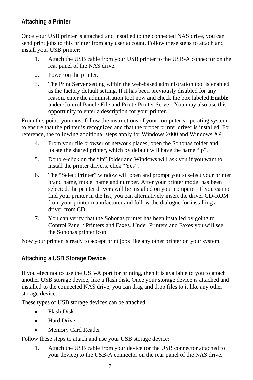## **Attaching a Printer**

Once your USB printer is attached and installed to the connected NAS drive, you can send print jobs to this printer from any user account. Follow these steps to attach and install your USB printer:

- 1. Attach the USB cable from your USB printer to the USB-A connector on the rear panel of the NAS drive.
- 2. Power on the printer.
- 3. The Print Server setting within the web-based administration tool is enabled as the factory default setting. If it has been previously disabled for any reason, enter the administration tool now and check the box labeled **Enable** under Control Panel / File and Print / Printer Server. You may also use this opportunity to enter a description for your printer.

From this point, you must follow the instructions of your computer's operating system to ensure that the printer is recognized and that the proper printer driver is installed. For reference, the following additional steps apply for Windows 2000 and Windows XP.

- 4. From your file browser or network places, open the Sohonas folder and locate the shared printer, which by default will have the name "lp".
- 5. Double-click on the "lp" folder and Windows will ask you if you want to install the printer drivers, click "Yes".
- 6. The "Select Printer" window will open and prompt you to select your printer brand name, model name and number. After your printer model has been selected, the printer drivers will be installed on your computer. If you cannot find your printer in the list, you can alternatively insert the driver CD-ROM from your printer manufacturer and follow the dialogue for installing a driver from CD.
- 7. You can verify that the Sohonas printer has been installed by going to Control Panel / Printers and Faxes. Under Printers and Faxes you will see the Sohonas printer icon.

Now your printer is ready to accept print jobs like any other printer on your system.

## **Attaching a USB Storage Device**

If you elect not to use the USB-A port for printing, then it is available to you to attach another USB storage device, like a flash disk. Once your storage device is attached and installed to the connected NAS drive, you can drag and drop files to it like any other storage device.

These types of USB storage devices can be attached:

- Flash Disk
- Hard Drive
- Memory Card Reader

Follow these steps to attach and use your USB storage device:

1. Attach the USB cable from your device (or the USB connector attached to your device) to the USB-A connector on the rear panel of the NAS drive.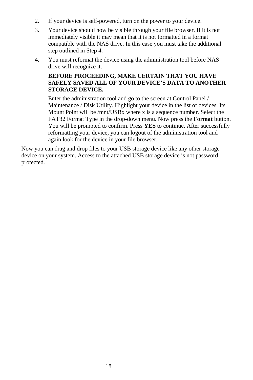- 2. If your device is self-powered, turn on the power to your device.
- 3. Your device should now be visible through your file browser. If it is not immediately visible it may mean that it is not formatted in a format compatible with the NAS drive. In this case you must take the additional step outlined in Step 4.
- 4. You must reformat the device using the administration tool before NAS drive will recognize it.

#### **BEFORE PROCEEDING, MAKE CERTAIN THAT YOU HAVE SAFELY SAVED ALL OF YOUR DEVICE'S DATA TO ANOTHER STORAGE DEVICE.**

Enter the administration tool and go to the screen at Control Panel / Maintenance / Disk Utility. Highlight your device in the list of devices. Its Mount Point will be /mnt/USBx where x is a sequence number. Select the FAT32 Format Type in the drop-down menu. Now press the **Format** button. You will be prompted to confirm. Press **YES** to continue. After successfully reformatting your device, you can logout of the administration tool and again look for the device in your file browser.

Now you can drag and drop files to your USB storage device like any other storage device on your system. Access to the attached USB storage device is not password protected.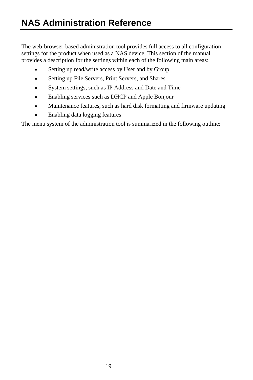The web-browser-based administration tool provides full access to all configuration settings for the product when used as a NAS device. This section of the manual provides a description for the settings within each of the following main areas:

- Setting up read/write access by User and by Group
- Setting up File Servers, Print Servers, and Shares
- System settings, such as IP Address and Date and Time
- Enabling services such as DHCP and Apple Bonjour
- Maintenance features, such as hard disk formatting and firmware updating
- Enabling data logging features

The menu system of the administration tool is summarized in the following outline: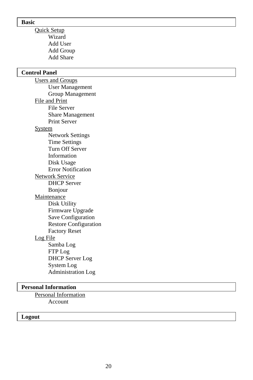#### **Basic**

 Quick Setup Wizard Add User Add Group Add Share

#### **Control Panel**

 Users and Groups User Management Group Management File and Print File Server Share Management Print Server System Network Settings Time Settings Turn Off Server Information Disk Usage Error Notification Network Service DHCP Server Bonjour **Maintenance**  Disk Utility Firmware Upgrade Save Configuration Restore Configuration Factory Reset Log File Samba Log FTP Log DHCP Server Log System Log Administration Log

#### **Personal Information**

 Personal Information Account

#### **Logout**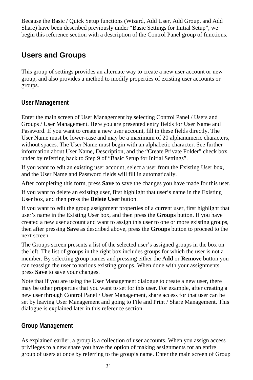Because the Basic / Quick Setup functions (Wizard, Add User, Add Group, and Add Share) have been described previously under "Basic Settings for Initial Setup", we begin this reference section with a description of the Control Panel group of functions.

## **Users and Groups**

This group of settings provides an alternate way to create a new user account or new group, and also provides a method to modify properties of existing user accounts or groups.

## **User Management**

Enter the main screen of User Management by selecting Control Panel / Users and Groups / User Management. Here you are presented entry fields for User Name and Password. If you want to create a new user account, fill in these fields directly. The User Name must be lower-case and may be a maximum of 20 alphanumeric characters, without spaces. The User Name must begin with an alphabetic character. See further information about User Name, Description, and the "Create Private Folder" check box under by referring back to Step 9 of "Basic Setup for Initial Settings".

If you want to edit an existing user account, select a user from the Existing User box, and the User Name and Password fields will fill in automatically.

After completing this form, press **Save** to save the changes you have made for this user.

If you want to delete an existing user, first highlight that user's name in the Existing User box, and then press the **Delete User** button.

If you want to edit the group assignment properties of a current user, first highlight that user's name in the Existing User box, and then press the **Groups** button. If you have created a new user account and want to assign this user to one or more existing groups, then after pressing **Save** as described above, press the **Groups** button to proceed to the next screen.

The Groups screen presents a list of the selected user's assigned groups in the box on the left. The list of groups in the right box includes groups for which the user is not a member. By selecting group names and pressing either the **Add** or **Remove** button you can reassign the user to various existing groups. When done with your assignments, press **Save** to save your changes.

Note that if you are using the User Management dialogue to create a new user, there may be other properties that you want to set for this user. For example, after creating a new user through Control Panel / User Management, share access for that user can be set by leaving User Management and going to File and Print / Share Management. This dialogue is explained later in this reference section.

## **Group Management**

As explained earlier, a group is a collection of user accounts. When you assign access privileges to a new share you have the option of making assignments for an entire group of users at once by referring to the group's name. Enter the main screen of Group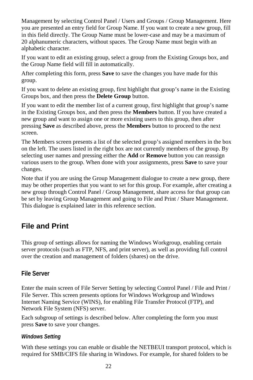Management by selecting Control Panel / Users and Groups / Group Management. Here you are presented an entry field for Group Name. If you want to create a new group, fill in this field directly. The Group Name must be lower-case and may be a maximum of 20 alphanumeric characters, without spaces. The Group Name must begin with an alphabetic character.

If you want to edit an existing group, select a group from the Existing Groups box, and the Group Name field will fill in automatically.

After completing this form, press **Save** to save the changes you have made for this group.

If you want to delete an existing group, first highlight that group's name in the Existing Groups box, and then press the **Delete Group** button.

If you want to edit the member list of a current group, first highlight that group's name in the Existing Groups box, and then press the **Members** button. If you have created a new group and want to assign one or more existing users to this group, then after pressing **Save** as described above, press the **Members** button to proceed to the next screen.

The Members screen presents a list of the selected group's assigned members in the box on the left. The users listed in the right box are not currently members of the group. By selecting user names and pressing either the **Add** or **Remove** button you can reassign various users to the group. When done with your assignments, press **Save** to save your changes.

Note that if you are using the Group Management dialogue to create a new group, there may be other properties that you want to set for this group. For example, after creating a new group through Control Panel / Group Management, share access for that group can be set by leaving Group Management and going to File and Print / Share Management. This dialogue is explained later in this reference section.

## **File and Print**

This group of settings allows for naming the Windows Workgroup, enabling certain server protocols (such as FTP, NFS, and print server), as well as providing full control over the creation and management of folders (shares) on the drive.

## **File Server**

Enter the main screen of File Server Setting by selecting Control Panel / File and Print / File Server. This screen presents options for Windows Workgroup and Windows Internet Naming Service (WINS), for enabling File Transfer Protocol (FTP), and Network File System (NFS) server.

Each subgroup of settings is described below. After completing the form you must press **Save** to save your changes.

## *Windows Setting*

With these settings you can enable or disable the NETBEUI transport protocol, which is required for SMB/CIFS file sharing in Windows. For example, for shared folders to be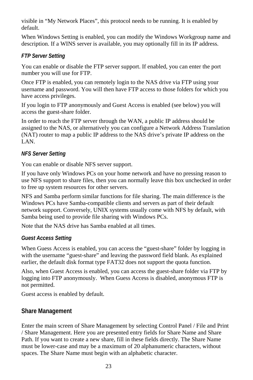visible in "My Network Places", this protocol needs to be running. It is enabled by default.

When Windows Setting is enabled, you can modify the Windows Workgroup name and description. If a WINS server is available, you may optionally fill in its IP address.

## *FTP Server Setting*

You can enable or disable the FTP server support. If enabled, you can enter the port number you will use for FTP.

Once FTP is enabled, you can remotely login to the NAS drive via FTP using your username and password. You will then have FTP access to those folders for which you have access privileges.

If you login to FTP anonymously and Guest Access is enabled (see below) you will access the guest-share folder.

In order to reach the FTP server through the WAN, a public IP address should be assigned to the NAS, or alternatively you can configure a Network Address Translation (NAT) router to map a public IP address to the NAS drive's private IP address on the LAN.

## *NFS Server Setting*

You can enable or disable NFS server support.

If you have only Windows PCs on your home network and have no pressing reason to use NFS support to share files, then you can normally leave this box unchecked in order to free up system resources for other servers.

NFS and Samba perform similar functions for file sharing. The main difference is the Windows PCs have Samba-compatible clients and servers as part of their default network support. Conversely, UNIX systems usually come with NFS by default, with Samba being used to provide file sharing with Windows PCs.

Note that the NAS drive has Samba enabled at all times.

#### *Guest Access Setting*

When Guess Access is enabled, you can access the "guest-share" folder by logging in with the username "guest-share" and leaving the password field blank. As explained earlier, the default disk format type FAT32 does not support the quota function.

Also, when Guest Access is enabled, you can access the guest-share folder via FTP by logging into FTP anonymously. When Guess Access is disabled, anonymous FTP is not permitted.

Guest access is enabled by default.

## **Share Management**

Enter the main screen of Share Management by selecting Control Panel / File and Print / Share Management. Here you are presented entry fields for Share Name and Share Path. If you want to create a new share, fill in these fields directly. The Share Name must be lower-case and may be a maximum of 20 alphanumeric characters, without spaces. The Share Name must begin with an alphabetic character.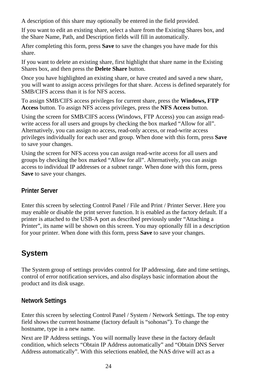A description of this share may optionally be entered in the field provided.

If you want to edit an existing share, select a share from the Existing Shares box, and the Share Name, Path, and Description fields will fill in automatically.

After completing this form, press **Save** to save the changes you have made for this share.

If you want to delete an existing share, first highlight that share name in the Existing Shares box, and then press the **Delete Share** button.

Once you have highlighted an existing share, or have created and saved a new share, you will want to assign access privileges for that share. Access is defined separately for SMB/CIFS access than it is for NFS access.

To assign SMB/CIFS access privileges for current share, press the **Windows, FTP Access** button. To assign NFS access privileges, press the **NFS Access** button.

Using the screen for SMB/CIFS access (Windows, FTP Access) you can assign readwrite access for all users and groups by checking the box marked "Allow for all". Alternatively, you can assign no access, read-only access, or read-write access privileges individually for each user and group. When done with this form, press **Save** to save your changes.

Using the screen for NFS access you can assign read-write access for all users and groups by checking the box marked "Allow for all". Alternatively, you can assign access to individual IP addresses or a subnet range. When done with this form, press **Save** to save your changes.

## **Printer Server**

Enter this screen by selecting Control Panel / File and Print / Printer Server. Here you may enable or disable the print server function. It is enabled as the factory default. If a printer is attached to the USB-A port as described previously under "Attaching a Printer", its name will be shown on this screen. You may optionally fill in a description for your printer. When done with this form, press **Save** to save your changes.

## **System**

The System group of settings provides control for IP addressing, date and time settings, control of error notification services, and also displays basic information about the product and its disk usage.

## **Network Settings**

Enter this screen by selecting Control Panel / System / Network Settings. The top entry field shows the current hostname (factory default is "sohonas"). To change the hostname, type in a new name.

Next are IP Address settings. You will normally leave these in the factory default condition, which selects "Obtain IP Address automatically" and "Obtain DNS Server Address automatically". With this selections enabled, the NAS drive will act as a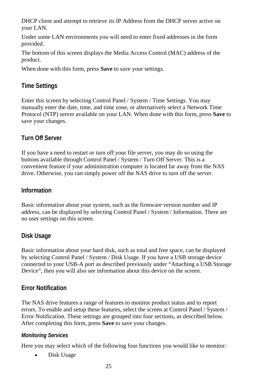DHCP client and attempt to retrieve its IP Address from the DHCP server active on your LAN.

Under some LAN environments you will need to enter fixed addresses in the form provided.

The bottom of this screen displays the Media Access Control (MAC) address of the product.

When done with this form, press **Save** to save your settings.

## **Time Settings**

Enter this screen by selecting Control Panel / System / Time Settings. You may manually enter the date, time, and time zone, or alternatively select a Network Time Protocol (NTP) server available on your LAN. When done with this form, press **Save** to save your changes.

## **Turn Off Server**

If you have a need to restart or turn off your file server, you may do so using the buttons available through Control Panel / System / Turn Off Server. This is a convenient feature if your administration computer is located far away from the NAS drive. Otherwise, you can simply power off the NAS drive to turn off the server.

## **Information**

Basic information about your system, such as the firmware version number and IP address, can be displayed by selecting Control Panel / System / Information. There are no user settings on this screen.

## **Disk Usage**

Basic information about your hard disk, such as total and free space, can be displayed by selecting Control Panel / System / Disk Usage. If you have a USB storage device connected to your USB-A port as described previously under "Attaching a USB Storage Device", then you will also see information about this device on the screen.

## **Error Notification**

The NAS drive features a range of features to monitor product status and to report errors. To enable and setup these features, select the screen at Control Panel / System / Error Notification. These settings are grouped into four sections, as described below. After completing this form, press **Save** to save your changes.

#### *Monitoring Services*

Here you may select which of the following four functions you would like to monitor:

• Disk Usage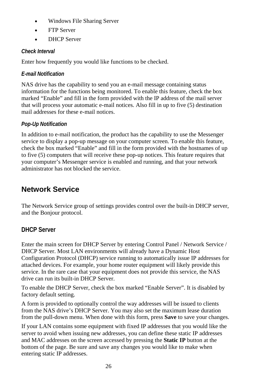- Windows File Sharing Server
- FTP Server
- DHCP Server

## *Check Interval*

Enter how frequently you would like functions to be checked.

## *E-mail Notification*

NAS drive has the capability to send you an e-mail message containing status information for the functions being monitored. To enable this feature, check the box marked "Enable" and fill in the form provided with the IP address of the mail server that will process your automatic e-mail notices. Also fill in up to five (5) destination mail addresses for these e-mail notices.

## *Pop-Up Notification*

In addition to e-mail notification, the product has the capability to use the Messenger service to display a pop-up message on your computer screen. To enable this feature, check the box marked "Enable" and fill in the form provided with the hostnames of up to five (5) computers that will receive these pop-up notices. This feature requires that your computer's Messenger service is enabled and running, and that your network administrator has not blocked the service.

## **Network Service**

The Network Service group of settings provides control over the built-in DHCP server, and the Bonjour protocol.

## **DHCP Server**

Enter the main screen for DHCP Server by entering Control Panel / Network Service / DHCP Server. Most LAN environments will already have a Dynamic Host Configuration Protocol (DHCP) service running to automatically issue IP addresses for attached devices. For example, your home router equipment will likely provide this service. In the rare case that your equipment does not provide this service, the NAS drive can run its built-in DHCP Server.

To enable the DHCP Server, check the box marked "Enable Server". It is disabled by factory default setting.

A form is provided to optionally control the way addresses will be issued to clients from the NAS drive's DHCP Server. You may also set the maximum lease duration from the pull-down menu. When done with this form, press **Save** to save your changes.

If your LAN contains some equipment with fixed IP addresses that you would like the server to avoid when issuing new addresses, you can define these static IP addresses and MAC addresses on the screen accessed by pressing the **Static IP** button at the bottom of the page. Be sure and save any changes you would like to make when entering static IP addresses.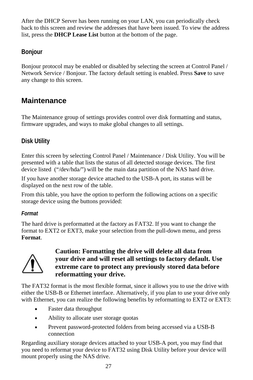After the DHCP Server has been running on your LAN, you can periodically check back to this screen and review the addresses that have been issued. To view the address list, press the **DHCP Lease List** button at the bottom of the page.

## **Bonjour**

Bonjour protocol may be enabled or disabled by selecting the screen at Control Panel / Network Service / Bonjour. The factory default setting is enabled. Press **Save** to save any change to this screen.

## **Maintenance**

The Maintenance group of settings provides control over disk formatting and status, firmware upgrades, and ways to make global changes to all settings.

## **Disk Utility**

Enter this screen by selecting Control Panel / Maintenance / Disk Utility. You will be presented with a table that lists the status of all detected storage devices. The first device listed ("/dev/hda/") will be the main data partition of the NAS hard drive.

If you have another storage device attached to the USB-A port, its status will be displayed on the next row of the table.

From this table, you have the option to perform the following actions on a specific storage device using the buttons provided:

## *Format*

The hard drive is preformatted at the factory as FAT32. If you want to change the format to EXT2 or EXT3, make your selection from the pull-down menu, and press **Format**.



## **Caution: Formatting the drive will delete all data from your drive and will reset all settings to factory default. Use extreme care to protect any previously stored data before reformatting your drive.**

The FAT32 format is the most flexible format, since it allows you to use the drive with either the USB-B or Ethernet interface. Alternatively, if you plan to use your drive only with Ethernet, you can realize the following benefits by reformatting to EXT2 or EXT3:

- Faster data throughput
- Ability to allocate user storage quotas
- Prevent password-protected folders from being accessed via a USB-B connection

Regarding auxiliary storage devices attached to your USB-A port, you may find that you need to reformat your device to FAT32 using Disk Utility before your device will mount properly using the NAS drive.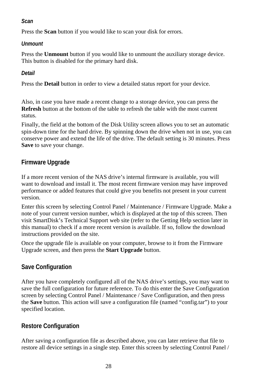#### *Scan*

Press the **Scan** button if you would like to scan your disk for errors.

#### *Unmount*

Press the **Unmount** button if you would like to unmount the auxiliary storage device. This button is disabled for the primary hard disk.

#### *Detail*

Press the **Detail** button in order to view a detailed status report for your device.

Also, in case you have made a recent change to a storage device, you can press the **Refresh** button at the bottom of the table to refresh the table with the most current status.

Finally, the field at the bottom of the Disk Utility screen allows you to set an automatic spin-down time for the hard drive. By spinning down the drive when not in use, you can conserve power and extend the life of the drive. The default setting is 30 minutes. Press **Save** to save your change.

## **Firmware Upgrade**

If a more recent version of the NAS drive's internal firmware is available, you will want to download and install it. The most recent firmware version may have improved performance or added features that could give you benefits not present in your current version.

Enter this screen by selecting Control Panel / Maintenance / Firmware Upgrade. Make a note of your current version number, which is displayed at the top of this screen. Then visit SmartDisk's Technical Support web site (refer to the Getting Help section later in this manual) to check if a more recent version is available. If so, follow the download instructions provided on the site.

Once the upgrade file is available on your computer, browse to it from the Firmware Upgrade screen, and then press the **Start Upgrade** button.

## **Save Configuration**

After you have completely configured all of the NAS drive's settings, you may want to save the full configuration for future reference. To do this enter the Save Configuration screen by selecting Control Panel / Maintenance / Save Configuration, and then press the **Save** button. This action will save a configuration file (named "config.tar") to your specified location.

## **Restore Configuration**

After saving a configuration file as described above, you can later retrieve that file to restore all device settings in a single step. Enter this screen by selecting Control Panel /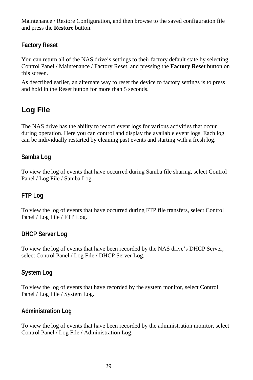Maintenance / Restore Configuration, and then browse to the saved configuration file and press the **Restore** button.

## **Factory Reset**

You can return all of the NAS drive's settings to their factory default state by selecting Control Panel / Maintenance / Factory Reset, and pressing the **Factory Reset** button on this screen.

As described earlier, an alternate way to reset the device to factory settings is to press and hold in the Reset button for more than 5 seconds.

## **Log File**

The NAS drive has the ability to record event logs for various activities that occur during operation. Here you can control and display the available event logs. Each log can be individually restarted by cleaning past events and starting with a fresh log.

## **Samba Log**

To view the log of events that have occurred during Samba file sharing, select Control Panel / Log File / Samba Log.

## **FTP Log**

To view the log of events that have occurred during FTP file transfers, select Control Panel / Log File / FTP Log.

## **DHCP Server Log**

To view the log of events that have been recorded by the NAS drive's DHCP Server, select Control Panel / Log File / DHCP Server Log.

## **System Log**

To view the log of events that have recorded by the system monitor, select Control Panel / Log File / System Log.

## **Administration Log**

To view the log of events that have been recorded by the administration monitor, select Control Panel / Log File / Administration Log.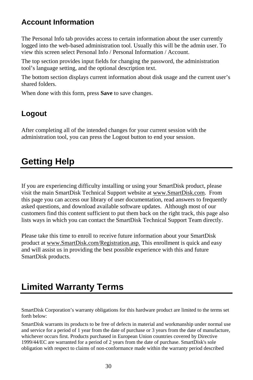## **Account Information**

The Personal Info tab provides access to certain information about the user currently logged into the web-based administration tool. Usually this will be the admin user. To view this screen select Personal Info / Personal Information / Account.

The top section provides input fields for changing the password, the administration tool's language setting, and the optional description text.

The bottom section displays current information about disk usage and the current user's shared folders.

When done with this form, press **Save** to save changes.

## **Logout**

After completing all of the intended changes for your current session with the administration tool, you can press the Logout button to end your session.

## **Getting Help**

If you are experiencing difficulty installing or using your SmartDisk product, please visit the main SmartDisk Technical Support website at www.SmartDisk.com. From this page you can access our library of user documentation, read answers to frequently asked questions, and download available software updates. Although most of our customers find this content sufficient to put them back on the right track, this page also lists ways in which you can contact the SmartDisk Technical Support Team directly.

Please take this time to enroll to receive future information about your SmartDisk product at www.SmartDisk.com/Registration.asp. This enrollment is quick and easy and will assist us in providing the best possible experience with this and future SmartDisk products.

# **Limited Warranty Terms**

SmartDisk Corporation's warranty obligations for this hardware product are limited to the terms set forth below:

SmartDisk warrants its products to be free of defects in material and workmanship under normal use and service for a period of 1 year from the date of purchase or 3 years from the date of manufacture, whichever occurs first. Products purchased in European Union countries covered by Directive 1999/44/EC are warranted for a period of 2 years from the date of purchase. SmartDisk's sole obligation with respect to claims of non-conformance made within the warranty period described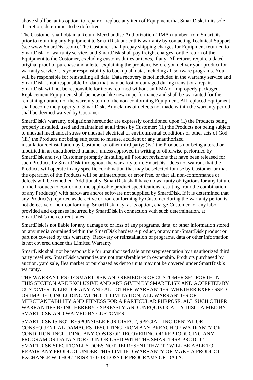above shall be, at its option, to repair or replace any item of Equipment that SmartDisk, in its sole discretion, determines to be defective.

The Customer shall obtain a Return Merchandise Authorization (RMA) number from SmartDisk prior to returning any Equipment to SmartDisk under this warranty by contacting Technical Support (see www.SmartDisk.com). The Customer shall prepay shipping charges for Equipment returned to SmartDisk for warranty service, and SmartDisk shall pay freight charges for the return of the Equipment to the Customer, excluding customs duties or taxes, if any. All returns require a dated original proof of purchase and a letter explaining the problem. Before you deliver your product for warranty service it is your responsibility to backup all data, including all software programs. You will be responsible for reinstalling all data. Data recovery is not included in the warranty service and SmartDisk is not responsible for data that may be lost or damaged during transit or a repair. SmartDisk will not be responsible for items returned without an RMA or improperly packaged. Replacement Equipment shall be new or like new in performance and shall be warranted for the remaining duration of the warranty term of the non-conforming Equipment. All replaced Equipment shall become the property of SmartDisk. Any claims of defects not made within the warranty period shall be deemed waived by Customer.

SmartDisk's warranty obligations hereunder are expressly conditioned upon (i.) the Products being properly installed, used and maintained at all times by Customer; (ii.) the Products not being subject to unusual mechanical stress or unusual electrical or environmental conditions or other acts of God; (iii.) the Products not being subjected to misuse, accident or any unauthorized installation/deinstallation by Customer or other third party; (iv.) the Products not being altered or modified in an unauthorized manner, unless approved in writing or otherwise performed by SmartDisk and (v.) Customer promptly installing all Product revisions that have been released for such Products by SmartDisk throughout the warranty term. SmartDisk does not warrant that the Products will operate in any specific combination that may be selected for use by Customer or that the operation of the Products will be uninterrupted or error free, or that all non-conformance or defects will be remedied. Additionally, SmartDisk shall have no warranty obligations for any failure of the Products to conform to the applicable product specifications resulting from the combination of any Product(s) with hardware and/or software not supplied by SmartDisk. If it is determined that any Product(s) reported as defective or non-conforming by Customer during the warranty period is not defective or non-conforming, SmartDisk may, at its option, charge Customer for any labor provided and expenses incurred by SmartDisk in connection with such determination, at SmartDisk's then current rates.

SmartDisk is not liable for any damage to or loss of any programs, data, or other information stored on any media contained within the SmartDisk hardware product, or any non-SmartDisk product or part not covered by this warranty. Recovery or reinstallation of programs, data or other information is not covered under this Limited Warranty.

SmartDisk shall not be responsible for unauthorized sale or misrepresentation by unauthorized third party resellers. SmartDisk warranties are not transferable with ownership. Products purchased by auction, yard sale, flea market or purchased as demo units may not be covered under SmartDisk's warranty.

THE WARRANTIES OF SMARTDISK AND REMEDIES OF CUSTOMER SET FORTH IN THIS SECTION ARE EXCLUSIVE AND ARE GIVEN BY SMARTDISK AND ACCEPTED BY CUSTOMER IN LIEU OF ANY AND ALL OTHER WARRANTIES, WHETHER EXPRESSED OR IMPLIED, INCLUDING WITHOUT LIMITATION, ALL WARRANTIES OF MERCHANTABILITY AND FITNESS FOR A PARTICULAR PURPOSE, ALL SUCH OTHER WARRANTIES BEING HEREBY EXPRESSLY AND UNEQUIVOCALLY DISCLAIMED BY SMARTDISK AND WAIVED BY CUSTOMER.

SMARTDISK IS NOT RESPONSIBLE FOR DIRECT, SPECIAL, INCIDENTAL OR CONSEQUENTIAL DAMAGES RESULTING FROM ANY BREACH OF WARRANTY OR CONDITION, INCLUDING ANY COSTS OF RECOVERING OR REPRODUCING ANY PROGRAM OR DATA STORED IN OR USED WITH THE SMARTDISK PRODUCT. SMARTDISK SPECIFICALLY DOES NOT REPRESENT THAT IT WILL BE ABLE TO REPAIR ANY PRODUCT UNDER THIS LIMITED WARRANTY OR MAKE A PRODUCT EXCHANGE WITHOUT RISK TO OR LOSS OF PROGRAMS OR DATA.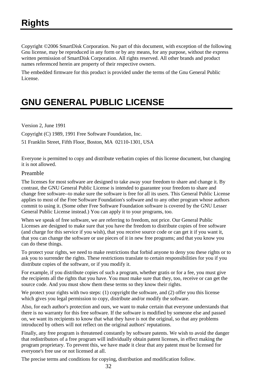Copyright ©2006 SmartDisk Corporation. No part of this document, with exception of the following Gnu license, may be reproduced in any form or by any means, for any purpose, without the express written permission of SmartDisk Corporation. All rights reserved. All other brands and product names referenced herein are property of their respective owners.

The embedded firmware for this product is provided under the terms of the Gnu General Public License.

# **GNU GENERAL PUBLIC LICENSE**

Version 2, June 1991

Copyright (C) 1989, 1991 Free Software Foundation, Inc.

51 Franklin Street, Fifth Floor, Boston, MA 02110-1301, USA

Everyone is permitted to copy and distribute verbatim copies of this license document, but changing it is not allowed.

#### Preamble

The licenses for most software are designed to take away your freedom to share and change it. By contrast, the GNU General Public License is intended to guarantee your freedom to share and change free software--to make sure the software is free for all its users. This General Public License applies to most of the Free Software Foundation's software and to any other program whose authors commit to using it. (Some other Free Software Foundation software is covered by the GNU Lesser General Public License instead.) You can apply it to your programs, too.

When we speak of free software, we are referring to freedom, not price. Our General Public Licenses are designed to make sure that you have the freedom to distribute copies of free software (and charge for this service if you wish), that you receive source code or can get it if you want it, that you can change the software or use pieces of it in new free programs; and that you know you can do these things.

To protect your rights, we need to make restrictions that forbid anyone to deny you these rights or to ask you to surrender the rights. These restrictions translate to certain responsibilities for you if you distribute copies of the software, or if you modify it.

For example, if you distribute copies of such a program, whether gratis or for a fee, you must give the recipients all the rights that you have. You must make sure that they, too, receive or can get the source code. And you must show them these terms so they know their rights.

We protect your rights with two steps: (1) copyright the software, and (2) offer you this license which gives you legal permission to copy, distribute and/or modify the software.

Also, for each author's protection and ours, we want to make certain that everyone understands that there is no warranty for this free software. If the software is modified by someone else and passed on, we want its recipients to know that what they have is not the original, so that any problems introduced by others will not reflect on the original authors' reputations.

Finally, any free program is threatened constantly by software patents. We wish to avoid the danger that redistributors of a free program will individually obtain patent licenses, in effect making the program proprietary. To prevent this, we have made it clear that any patent must be licensed for everyone's free use or not licensed at all.

The precise terms and conditions for copying, distribution and modification follow.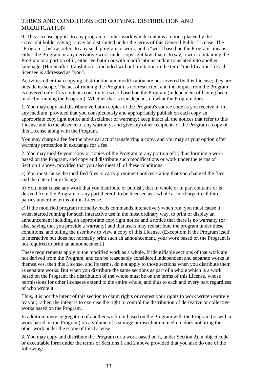#### TERMS AND CONDITIONS FOR COPYING, DISTRIBUTION AND **MODIFICATION**

0. This License applies to any program or other work which contains a notice placed by the copyright holder saying it may be distributed under the terms of this General Public License. The "Program", below, refers to any such program or work, and a "work based on the Program" means either the Program or any derivative work under copyright law: that is to say, a work containing the Program or a portion of it, either verbatim or with modifications and/or translated into another language. (Hereinafter, translation is included without limitation in the term "modification".) Each licensee is addressed as "you".

Activities other than copying, distribution and modification are not covered by this License; they are outside its scope. The act of running the Program is not restricted, and the output from the Program is covered only if its contents constitute a work based on the Program (independent of having been made by running the Program). Whether that is true depends on what the Program does.

1. You may copy and distribute verbatim copies of the Program's source code as you receive it, in any medium, provided that you conspicuously and appropriately publish on each copy an appropriate copyright notice and disclaimer of warranty; keep intact all the notices that refer to this License and to the absence of any warranty; and give any other recipients of the Program a copy of this License along with the Program.

You may charge a fee for the physical act of transferring a copy, and you may at your option offer warranty protection in exchange for a fee.

2. You may modify your copy or copies of the Program or any portion of it, thus forming a work based on the Program, and copy and distribute such modifications or work under the terms of Section 1 above, provided that you also meet all of these conditions:

a) You must cause the modified files to carry prominent notices stating that you changed the files and the date of any change.

b) You must cause any work that you distribute or publish, that in whole or in part contains or is derived from the Program or any part thereof, to be licensed as a whole at no charge to all third parties under the terms of this License.

c) If the modified program normally reads commands interactively when run, you must cause it, when started running for such interactive use in the most ordinary way, to print or display an announcement including an appropriate copyright notice and a notice that there is no warranty (or else, saying that you provide a warranty) and that users may redistribute the program under these conditions, and telling the user how to view a copy of this License. (Exception: if the Program itself is interactive but does not normally print such an announcement, your work based on the Program is not required to print an announcement.)

These requirements apply to the modified work as a whole. If identifiable sections of that work are not derived from the Program, and can be reasonably considered independent and separate works in themselves, then this License, and its terms, do not apply to those sections when you distribute them as separate works. But when you distribute the same sections as part of a whole which is a work based on the Program, the distribution of the whole must be on the terms of this License, whose permissions for other licensees extend to the entire whole, and thus to each and every part regardless of who wrote it.

Thus, it is not the intent of this section to claim rights or contest your rights to work written entirely by you; rather, the intent is to exercise the right to control the distribution of derivative or collective works based on the Program.

In addition, mere aggregation of another work not based on the Program with the Program (or with a work based on the Program) on a volume of a storage or distribution medium does not bring the other work under the scope of this License.

3. You may copy and distribute the Program (or a work based on it, under Section 2) in object code or executable form under the terms of Sections 1 and 2 above provided that you also do one of the following: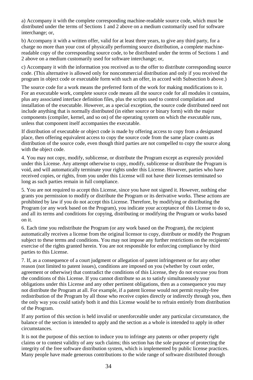a) Accompany it with the complete corresponding machine-readable source code, which must be distributed under the terms of Sections 1 and 2 above on a medium customarily used for software interchange; or,

b) Accompany it with a written offer, valid for at least three years, to give any third party, for a charge no more than your cost of physically performing source distribution, a complete machinereadable copy of the corresponding source code, to be distributed under the terms of Sections 1 and 2 above on a medium customarily used for software interchange; or,

c) Accompany it with the information you received as to the offer to distribute corresponding source code. (This alternative is allowed only for noncommercial distribution and only if you received the program in object code or executable form with such an offer, in accord with Subsection b above.)

The source code for a work means the preferred form of the work for making modifications to it. For an executable work, complete source code means all the source code for all modules it contains, plus any associated interface definition files, plus the scripts used to control compilation and installation of the executable. However, as a special exception, the source code distributed need not include anything that is normally distributed (in either source or binary form) with the major components (compiler, kernel, and so on) of the operating system on which the executable runs, unless that component itself accompanies the executable.

If distribution of executable or object code is made by offering access to copy from a designated place, then offering equivalent access to copy the source code from the same place counts as distribution of the source code, even though third parties are not compelled to copy the source along with the object code.

4. You may not copy, modify, sublicense, or distribute the Program except as expressly provided under this License. Any attempt otherwise to copy, modify, sublicense or distribute the Program is void, and will automatically terminate your rights under this License. However, parties who have received copies, or rights, from you under this License will not have their licenses terminated so long as such parties remain in full compliance.

5. You are not required to accept this License, since you have not signed it. However, nothing else grants you permission to modify or distribute the Program or its derivative works. These actions are prohibited by law if you do not accept this License. Therefore, by modifying or distributing the Program (or any work based on the Program), you indicate your acceptance of this License to do so, and all its terms and conditions for copying, distributing or modifying the Program or works based on it.

6. Each time you redistribute the Program (or any work based on the Program), the recipient automatically receives a license from the original licensor to copy, distribute or modify the Program subject to these terms and conditions. You may not impose any further restrictions on the recipients' exercise of the rights granted herein. You are not responsible for enforcing compliance by third parties to this License.

7. If, as a consequence of a court judgment or allegation of patent infringement or for any other reason (not limited to patent issues), conditions are imposed on you (whether by court order, agreement or otherwise) that contradict the conditions of this License, they do not excuse you from the conditions of this License. If you cannot distribute so as to satisfy simultaneously your obligations under this License and any other pertinent obligations, then as a consequence you may not distribute the Program at all. For example, if a patent license would not permit royalty-free redistribution of the Program by all those who receive copies directly or indirectly through you, then the only way you could satisfy both it and this License would be to refrain entirely from distribution of the Program.

If any portion of this section is held invalid or unenforceable under any particular circumstance, the balance of the section is intended to apply and the section as a whole is intended to apply in other circumstances.

It is not the purpose of this section to induce you to infringe any patents or other property right claims or to contest validity of any such claims; this section has the sole purpose of protecting the integrity of the free software distribution system, which is implemented by public license practices. Many people have made generous contributions to the wide range of software distributed through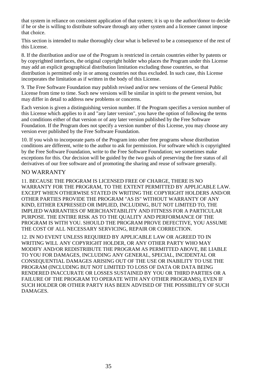that system in reliance on consistent application of that system; it is up to the author/donor to decide if he or she is willing to distribute software through any other system and a licensee cannot impose that choice.

This section is intended to make thoroughly clear what is believed to be a consequence of the rest of this License.

8. If the distribution and/or use of the Program is restricted in certain countries either by patents or by copyrighted interfaces, the original copyright holder who places the Program under this License may add an explicit geographical distribution limitation excluding those countries, so that distribution is permitted only in or among countries not thus excluded. In such case, this License incorporates the limitation as if written in the body of this License.

9. The Free Software Foundation may publish revised and/or new versions of the General Public License from time to time. Such new versions will be similar in spirit to the present version, but may differ in detail to address new problems or concerns.

Each version is given a distinguishing version number. If the Program specifies a version number of this License which applies to it and "any later version", you have the option of following the terms and conditions either of that version or of any later version published by the Free Software Foundation. If the Program does not specify a version number of this License, you may choose any version ever published by the Free Software Foundation.

10. If you wish to incorporate parts of the Program into other free programs whose distribution conditions are different, write to the author to ask for permission. For software which is copyrighted by the Free Software Foundation, write to the Free Software Foundation; we sometimes make exceptions for this. Our decision will be guided by the two goals of preserving the free status of all derivatives of our free software and of promoting the sharing and reuse of software generally.

#### NO WARRANTY

11. BECAUSE THE PROGRAM IS LICENSED FREE OF CHARGE, THERE IS NO WARRANTY FOR THE PROGRAM, TO THE EXTENT PERMITTED BY APPLICABLE LAW. EXCEPT WHEN OTHERWISE STATED IN WRITING THE COPYRIGHT HOLDERS AND/OR OTHER PARTIES PROVIDE THE PROGRAM "AS IS" WITHOUT WARRANTY OF ANY KIND, EITHER EXPRESSED OR IMPLIED, INCLUDING, BUT NOT LIMITED TO, THE IMPLIED WARRANTIES OF MERCHANTABILITY AND FITNESS FOR A PARTICULAR PURPOSE. THE ENTIRE RISK AS TO THE QUALITY AND PERFORMANCE OF THE PROGRAM IS WITH YOU. SHOULD THE PROGRAM PROVE DEFECTIVE, YOU ASSUME THE COST OF ALL NECESSARY SERVICING, REPAIR OR CORRECTION.

12. IN NO EVENT UNLESS REQUIRED BY APPLICABLE LAW OR AGREED TO IN WRITING WILL ANY COPYRIGHT HOLDER, OR ANY OTHER PARTY WHO MAY MODIFY AND/OR REDISTRIBUTE THE PROGRAM AS PERMITTED ABOVE, BE LIABLE TO YOU FOR DAMAGES, INCLUDING ANY GENERAL, SPECIAL, INCIDENTAL OR CONSEQUENTIAL DAMAGES ARISING OUT OF THE USE OR INABILITY TO USE THE PROGRAM (INCLUDING BUT NOT LIMITED TO LOSS OF DATA OR DATA BEING RENDERED INACCURATE OR LOSSES SUSTAINED BY YOU OR THIRD PARTIES OR A FAILURE OF THE PROGRAM TO OPERATE WITH ANY OTHER PROGRAMS), EVEN IF SUCH HOLDER OR OTHER PARTY HAS BEEN ADVISED OF THE POSSIBILITY OF SUCH DAMAGES.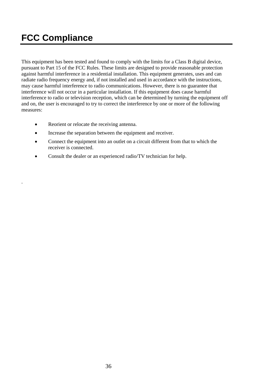# **FCC Compliance**

.

This equipment has been tested and found to comply with the limits for a Class B digital device, pursuant to Part 15 of the FCC Rules. These limits are designed to provide reasonable protection against harmful interference in a residential installation. This equipment generates, uses and can radiate radio frequency energy and, if not installed and used in accordance with the instructions, may cause harmful interference to radio communications. However, there is no guarantee that interference will not occur in a particular installation. If this equipment does cause harmful interference to radio or television reception, which can be determined by turning the equipment off and on, the user is encouraged to try to correct the interference by one or more of the following measures:

- Reorient or relocate the receiving antenna.
- Increase the separation between the equipment and receiver.
- Connect the equipment into an outlet on a circuit different from that to which the receiver is connected.
- Consult the dealer or an experienced radio/TV technician for help.